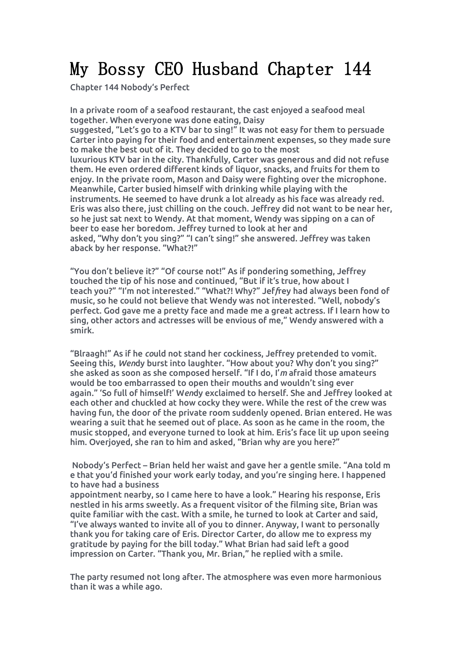# My Bossy CEO Husband Chapter 144

Chapter 144 Nobody's Perfect

In a private room of a seafood restaurant, the cast enjoyed a seafood meal together. When everyone was done eating, Daisy

suggested, "Let's go to a KTV bar to sing!" It was not easy for them to persuade Carter into paying for their food and entertain*m*ent expenses, so they made sure to make the best out of it. They decided to go to the most

luxurious KTV bar in the city. Thankfully, Carter was generous and did not refuse them. He even ordered different kinds of liquor, snacks, and fruits for them to enjoy. In the private room, Mason and Daisy were fighting over the microphone. Meanwhile, Carter busied himself with drinking while playing with the instruments. He seemed to have drunk a lot already ashis face was already red. Eris was also there, just chilling on the couch. Jeffrey did not want to be nearher, so he just sat next to Wendy. At that moment, Wendy was sipping on a can of beer to ease her boredom. Jeffrey turned to look at her and asked, "Why don't you sing?" "I can't sing!" she answered. Jeffrey was taken aback by her response. "What?!"

"You don't believe it?" "Of course not!" As if pondering something, Jeffrey touched the tip of his nose and continued, "But if it's true, how about I teach you?" "I'm not interested." "What?! Why?" Jef*f*rey had always been fond of music, so he could not believe that Wendy was not interested. "Well, nobody's perfect. God gave me a pretty face and made me a great actress. If I learn how to sing, other actors and actresses will be envious of me," Wendy answered with a smirk.

"Blraagh!" As if he *co*uld not stand her cockiness, Jeffrey pretended to vomit. Seeing this, *Wen*dy burst into laughter. "How about you? Why don't you sing?" she asked as soon as she composed herself. "If I do, I'*m* afraid those amateurs would be too embarrassed to open their mouths and wouldn't sing ever again." 'So full of himself!' W*en*dy exclaimed to herself. She and Jeffrey looked at each other and chuckled at how cocky they were. While the rest of the crew was having fun, the door of the private room suddenly opened. Brian entered. He was wearing a suit that he seemed out of place. As soon as he came in the room, the music stopped, and everyone turned to look athim. Eris's face lit up upon seeing him. Overjoyed, she ran to him and asked, "Brian why are you here?"

Nobody's Perfect – Brian held her waist and gave her a gentle smile. "Ana told m e that you'd finished your work early today, and you're singing here. I happened to have had a business

appointment nearby, so I came here to have a look." Hearing his response, Eris nestled in his arms sweetly. As a frequent visitor of the filming site, Brian was quite familiar with the cast. With a smile, he turned to look at Carter and said, "I've always wanted to invite all of you to dinner. Anyway, I want to personally thank you for taking care of Eris. Director Carter, do allow me to express my gratitude by paying for the bill today." What Brian had said left a good impression on Carter. "Thank you, Mr. Brian," he replied with a smile.

The party resumed not long after. The atmosphere was even more harmonious than it was a while ago.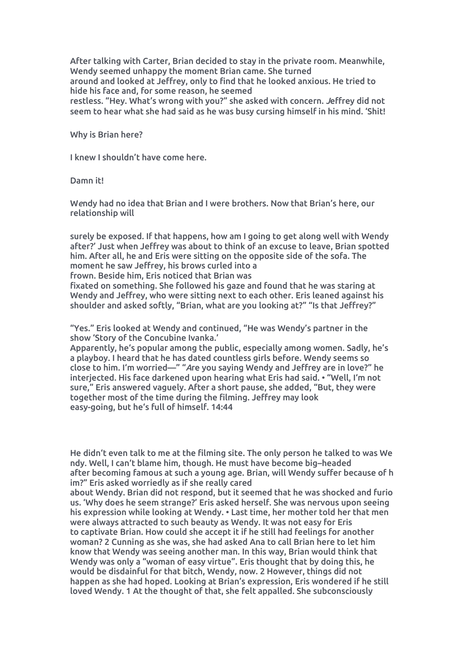After talking with Carter, Brian decided to stay in the private room. Meanwhile, Wendy seemed unhappy the moment Brian came. She turned around and looked at Jeffrey, only to find that he looked anxious. He tried to hide his face and, for some reason, he seemed restless. "Hey. What's wrong with you?" she asked with concern. *J*effrey did not

seem to hear what she had said as he was busy cursing himself in his mind. 'Shit!

Why is Brian here?

I knew I shouldn't have come here.

Damn it!

Wendy had no idea that Brian and I were brothers. Now that Brian's here, our relationship will

surely be exposed. If that happens, how am I going to get along well with Wendy after?' Just when Jeffrey was about to think of an excuse to leave, Brian spotted him. After all, he and Eris were sitting on the opposite side of the sofa. The moment he saw Jeffrey, his brows curled into a

frown. Beside him, Eris noticed that Brian was

fixated on something. She followed his gaze and found that he was staring at Wendy and Jeffrey, who were sitting next to each other. Eris leaned against his shoulder and asked softly, "Brian, what are you looking at?" "Is that Jeffrey?"

"Yes." Eris looked at Wendy and continued, "He was Wendy's partner in the show 'Story of the Concubine Ivanka.'

Apparently, he's popular among the public, especially among women. Sadly, he's a playboy. I heard that he has dated countless girls before.Wendy seems so close to him. I'm worried—" "*A*re you saying Wendy and Jeffrey are in love?" he interjected. His face darkened upon hearing what Eris had said. • "Well, I'm not sure," Eris answered vaguely. After a short pause, she added, "But, they were together most of the time during the filming. Jeffrey may look easy-going, but he's full of himself. 14:44

He didn't even talk to me at the filming site. The only person he talked to was We ndy. Well, I can't blame him, though. He must have become big–headed after becoming famous at such a young age. Brian, will Wendy suffer because of h im?" Eris asked worriedly as if she really cared

about Wendy. Brian did not respond, but it seemed that he was shocked and furio us. 'Why does he seem strange?' Eris asked herself. She was nervous upon seeing his expression while looking at Wendy. • Last time, her mother told her that men were always attracted to such beauty as Wendy.It was not easy for Eris to captivate Brian. How could she accept it if he still had feelings for another woman? 2 Cunning as she was, she had asked Ana to call Brian here to let him know that Wendy was seeing another man. In this way, Brian would think that Wendy was only a "woman of easy virtue". Eris thought that by doing this, he would be disdainful for that bitch, Wendy, now. 2 However, things did not happen as she had hoped. Looking at Brian's expression, Eris wondered if he still loved Wendy. 1 At the thought of that, she felt appalled. She subconsciously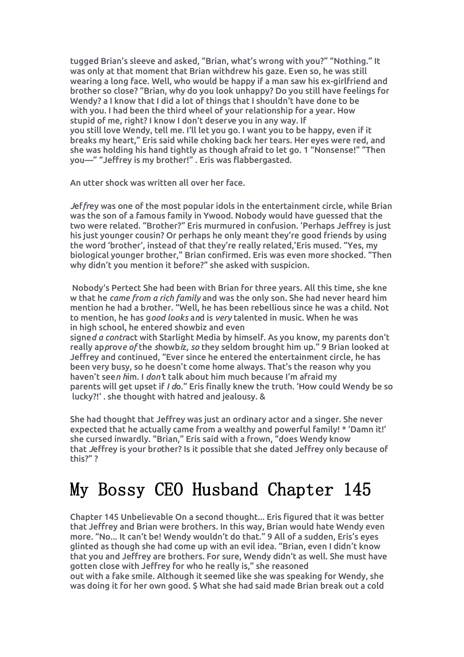tugged Brian's sleeve and asked, "Brian, what's wrong with you?" "Nothing." It was only at that moment that Brian withdrew his gaze. E*v*en so, he was still wearing a long face. Well, who would be happy if a man saw his ex-girlfriend and brother so close? "Brian, why do you look unhappy? Do you still have feelings for Wendy? a I know that I did a lot of things that I shouldn't have done to be with you. I had been the third wheel of your relationship for a year. How stupid of me, right? I know I don't deser*v*e you in any way. If you still love Wendy, tell me. I'll let you go. I want you to be happy,even if it breaks my heart," Eris said while choking back her tears. Her eyes were red, and she was holding his hand tightly as though afraid to let go. 1 "Nonsense!" "Then you—" "Jeffrey is my brother!" . Eris was flabbergasted.

An utter shock was written all over her face.

*J*ef*fr*ey was one of the most popular idols in the entertainment circle, while Brian was the son of a famous family in Ywood. Nobody would have guessed that the two were related. "Brother?" Eris murmured in confusion. 'Perhaps Jeffrey is just his just younger cousin? Or perhaps he only meant they're good friends by using the word 'brother', instead of that they're really related,'Eris mused. "Yes, my biological younger brother," Brian confirmed. Eris was even more shocked. "Then why didn't you mention it before?" she asked with suspicion.

Nobody's Pertect She had been with Brian for three years. All this time, she kne w that he *came from a rich family* and was the only son. She had never heard him mention he had a b*r*other. "Well, he has been rebellious since he was a child. Not to mention, he has g*ood looks* a*n*d is *very* talented in music. When he was in high school, he entered showbiz and even

signe*d a contr*act with Starlight Media by himself. As you know, my parents don't really ap*p*rov*e of* the *s*howb*i*z*, so* they seldom brought him up." 9 Brian looked at Jeffrey and continued, "Ever since he entered the entertainment circle, he has been very busy, so he doesn't come home always. That's the reason why you haven't see*n h*im. I *don'*t talk about him much because I'm afraid my parents will get upset if *I d*o." Eris finally knew the truth. 'How could Wendy be so lucky?!' . she thought with hatred and jealousy.&

She had thought that Jeffrey was just an ordinary actor and a singer. She never expected that he actually came from a wealthy and powerful family! \* 'Damn it!' she cursed inwardly. "Brian," Eris said with a frown, "does Wendy know that *J*effrey is your br*o*ther? Is it possible that she dated Jeffrey only because of this?" ?

### My Bossy CEO Husband Chapter 145

Chapter 145 Unbelievable On a second thought... Eris figured that it was better that Jeffrey and Brian were brothers. In this way, Brian would hate Wendy even more. "No... It can't be! Wendy wouldn't do that." 9 All of a sudden, Eris's eyes glinted as though she had come up with an evil idea. "Brian, even I didn't know that you and Jeffrey are brothers. For sure, Wendy didn't as well. She must have gotten close with Jeffrey for who he really is," she reasoned

out with a fake smile.Although it seemed like she was speaking for Wendy, she was doing it for her own good. \$ What she had said made Brian break out a cold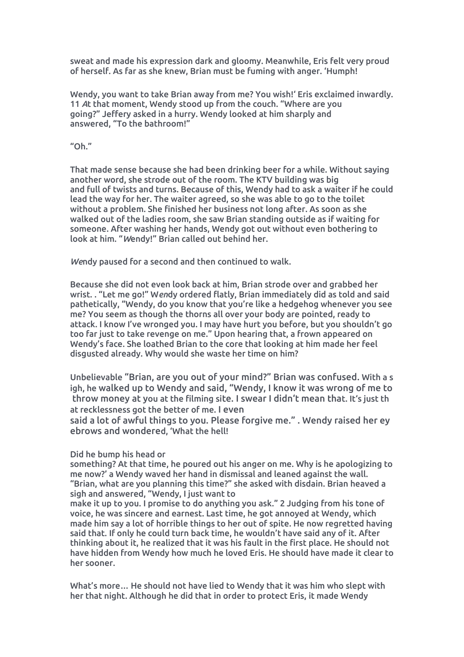sweat and made his expression dark and gloomy. Meanwhile, Eris felt very proud of herself. As far as she knew, Brian must be fuming with anger. 'Humph!

Wendy, you want to take Brian away from me? You wish!' Eris exclaimed inwardly. 11 *A*t that moment, Wendy stood up from the couch. "Where are you going?" Jeffery asked in a hurry. Wendy looked at him sharply and answered, "To the bathroom!"

"Oh."

That made sense because she had been drinking beer for a while. Without saying another word, she strode out of the room. The KTV building was big and full of twists and turns. Because of this, Wendy had to ask a waiter if he could lead the way for her. The waiter agreed, so she was able to go to the toilet without a problem. She finished her business not long after. As soon as she walked out of the ladies room, she saw Brian standing outside as if waiting for someone. After washing her hands, Wendy got out without even bothering to look at him. "*W*endy!" Brian called out behind her.

*We*ndy paused for a second and then continued to walk.

Because she did not even look back at him, Brian strode over and grabbed her wrist. . "Let me go!" W*en*dy ordered flatly, Brian immediately did as told and said pathetically, "Wendy, do you know that you're like a hedgehog whenever you see me? You seem as though the thorns all over your body are pointed, ready to attack. I know I've wronged you. I may have hurt you before, but you shouldn't go too far just to take revenge on me." Upon hearing that, a frown appeared on Wendy's face. She loathed Brian to the core that looking at him made her feel disgusted already. Why would she waste her time on him?

Unbelievable "Brian, are you out of your mind?" Brian was confused. With a s igh, he walked up to Wendy and said, "Wendy, I know it was wrong of me to throw money at you at the filming site. I swear I didn't mean that. It's just th at recklessness got the better of me. I even

said a lot of awful things to you. Please forgive me." . Wendy raised her ey ebrows and wondered, 'What the hell!

#### Did he bump his head or

something? At that time, he poured out his anger on me. Why is he apologizing to me now?' a Wendy waved her hand in dismissal and leaned against the wall. "Brian, what are you planning this time?" she asked with disdain. Brian heaved a sigh and answered, "Wendy, I just want to

make it up to you. I promise to do anything you ask."2 Judging from his tone of voice, he was sincere and earnest. Last time, he got annoyed at Wendy, which made him say a lot of horrible things to her out of spite. He now regretted having said that. If only he could turn back time, he wouldn't have said any of it. After thinking about it, he realized that it was his fault in the first place. He should not have hidden from Wendy how much he loved Eris. He should have made it clear to her sooner.

What's more… He should not have lied to Wendy that it was him who slept with her that night. Although he did that in order to protect Eris, it made Wendy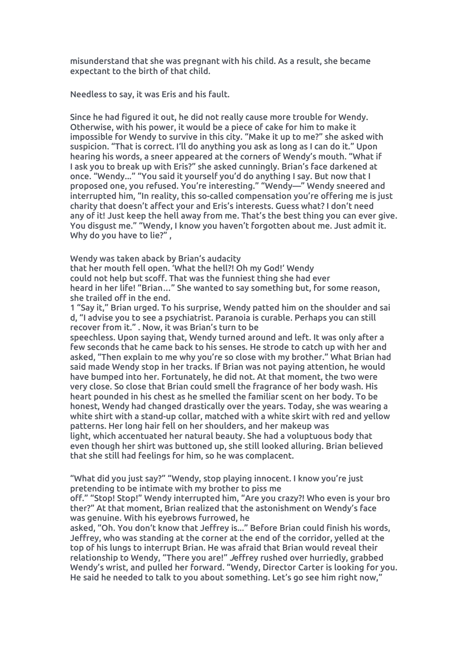misunderstand that she was pregnant with his child. As a result, she became expectant to the birth of that child.

Needless to say, it was Eris and his fault.

Since he had figured it out, he did not really cause more trouble for Wendy. Otherwise, with his power, it would be apiece of cake for him to make it impossible for Wendy to survive in this city. "Make it up to me?" she asked with suspicion. "That is correct. I'll do anything you ask as long as I can do it." Upon hearing his words, a sneer appeared at the corners of Wendy's mouth. "What if I ask you to break up with Eris?" she asked cunningly. Brian's face darkened at once. "Wendy..." "You said it yourself you'd do anything I say. But now that I proposed one, you refused. You're interesting." "Wendy—" Wendy sneered and interrupted him, "In reality, this so-called compensation you're offering me is just charity that doesn't affect your and Eris'sinterests. Guess what? I don't need any of it! Just keep the hell away from me. That's the best thing you can ever give. You disgust me." "Wendy, I know you haven't forgotten about me. Just admit it. Why do you have to lie?",

Wendy was taken aback by Brian's audacity

that her mouth fell open. 'What the hell?! Oh my God!' Wendy could not help but scoff. That was the funniest thing she had ever heard in her life! "Brian…" She wanted to say something but, for some reason, she trailed off in the end.

1 "Say it," Brian urged. To his surprise, Wendy patted him on the shoulder and sai d, "I advise you to see a psychiatrist. Paranoia is curable. Perhaps you can still recover from it." . Now, it was Brian's turn to be

speechless. Upon saying that, Wendy turned around and left. It was only after a few seconds that he came back to his senses.He strode to catch up with her and asked, "Then explain to me why you're so close with my brother." What Brian had said made Wendy stop in her tracks. If Brian was not paying attention, he would have bumped into her. Fortunately, he did not. At that moment, the two were very close. So close that Brian could smell the fragrance of her body wash. His heart pounded in his chest as he smelled the familiar scent on her body. To be honest, Wendy had changed drastically over the years. Today, she was wearing a white shirt with a stand-up collar, matched with a white skirt with red and yellow patterns. Her long hair fell on her shoulders, and her makeup was light, which accentuated her natural beauty. She had a voluptuous body that even though her shirt was buttoned up, she still looked alluring. Brian believed that she still had feelings for him, so he was complacent.

"What did you just say?" "Wendy, stop playing innocent. I know you're just pretending to be intimate with my brother to piss me

off." "Stop! Stop!" Wendy interrupted him, "Are you crazy?! Who even is your bro ther?" At that moment, Brian realized that the astonishment on Wendy's face was genuine. With his eyebrows furrowed, he

asked, "Oh. You don't know that Jeffrey is..." Before Brian could finish his words, Jeffrey, who was standing at the cornerat the end of the corridor, yelled at the top of his lungs to interrupt Brian. He was afraid that Brian would reveal their relationship to Wendy, "There you are!"*J*effrey rushed over hurriedly, grabbed Wendy's wrist, and pulled her forward. "Wendy, Director Carter is looking for you. He said he needed to talk to you about something. Let's go see him right now,"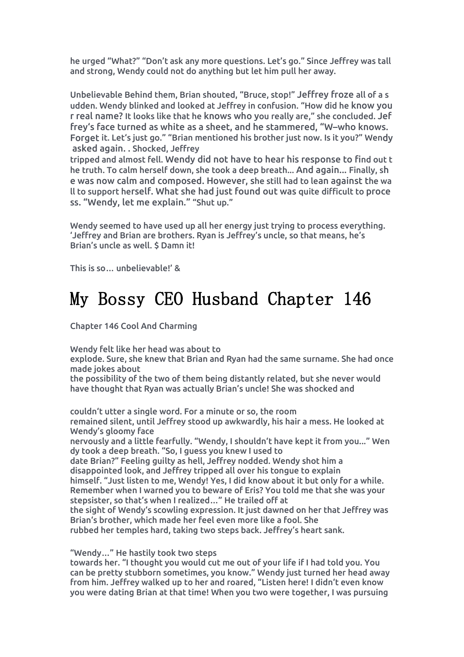he urged "What?" "Don't ask any more questions. Let's go." Since Jeffrey was tall and strong, Wendy could not do anything but let him pull her away.

Unbelievable Behind them, Brian shouted, "Bruce, stop!" Jeffrey froze all of a s udden. Wendy blinked and looked at Jeffrey in confusion. "How did he know you r realname? It looks like that he knows who you really are," she concluded. Jef frey's face turned as white as a sheet, and he stammered,"W–who knows. Forget it. Let's just go." "Brian mentioned his brother just now. Is it you?" Wendy asked again. . Shocked, Jeffrey

tripped and almost fell. Wendy did not have to hear his response to find out t he truth. To calm herself down, she took a deep breath... And again... Finally, sh e was now calm and composed. However, she still had to lean against the wa ll to support herself. What she had just found out was quite difficult to proce ss. "Wendy, let me explain." "Shut up."

Wendy seemed to have used up all her energy just trying to process everything. 'Jeffrey and Brian are brothers. Ryan is Jeffrey's uncle, so that means, he's Brian's uncle as well. \$ Damn it!

This is so… unbelievable!' &

## My Bossy CEO Husband Chapter 146

Chapter 146 Cool And Charming

Wendy felt like her head was about to

explode. Sure, she knew that Brian and Ryan had the same surname. She had once made jokes about

the possibility of the two of them being distantly related, but she never would have thought that Ryan was actually Brian's uncle! She was shocked and

couldn't utter a single word. For a minute or so, the room remained silent, until Jeffrey stood up awkwardly, his hair a mess. He looked at Wendy's gloomy face

nervously and a little fearfully. "Wendy, I shouldn't have kept it from you..." Wen dy took a deep breath. "So, I guess you knew I used to

date Brian?" Feeling quilty as hell, Jeffrey nodded. Wendy shot him a disappointed look, and Jeffrey tripped all overhis tongue to explain himself. "Just listen to me, Wendy! Yes, I did know about it but only for a while. Remember when I warned you to beware of Eris? You told me that she was your stepsister, so that's when I realized…" He trailed off at the sight of Wendy's scowling expression. It just dawned on her that Jeffrey was Brian's brother, which made her feel even more like a fool. She rubbed her temples hard, taking two steps back. Jeffrey's heart sank.

"Wendy…" He hastily took two steps

towards her. "I thought you would cut me out of your life if I had told you. You can be pretty stubborn sometimes, you know." Wendy just turned her head away from him. Jeffrey walked up to her and roared, "Listen here! I didn't even know you were dating Brian at that time! When you two were together, I was pursuing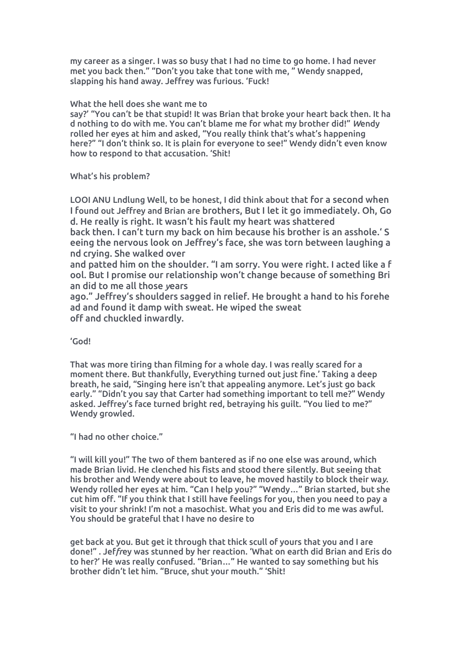my career as a singer. I was so busy that I had no time to go home.I had never met you back then." "Don't you take that tone with me, " Wendy snapped, slapping his hand away. Jeffrey was furious. 'Fuck!

### What the hell does she want me to

say?' "You can't be that stupid! It was Brian that broke your heart back then. It ha d nothing to do with me. You can't blame me for what my brother did!" *W*endy rolled her eyes at him and asked, "You really think that's what's happening here?" "I don't think so. It is plain for everyone to see!" Wendy didn't even know how to respond to that accusation. 'Shit!

What's his problem?

LOOI ANU Lndlung Well, to be honest, I did think about that for a second when I found out Jeffrey and Brian are brothers, But I let it go immediately.Oh, Go d. He really is right. It wasn't his fault my heart was shattered

back then. I can't turn my back on him because his brother is an asshole.' S eeing the nervous look on Jeffrey's face, she was torn between laughing a nd crying. She walked over

and patted him on the shoulder. "I am sorry. You were right. I acted like a f ool. But I promise our relationship won't change because of something Bri an did to me all those *y*ears

ago." Jeffrey's shoulders sagged in relief. He brought a hand to his forehe ad and found it damp with sweat. He wiped the sweat off and chuckled inwardly.

### 'God!

That was more tiring than filming for a whole day. I was really scared for a moment there. But thankfully, Everything turned out just fine.' Taking a deep breath, he said, "Singing here isn't that appealing anymore. Let's just go back early." "Didn't you say that Carter had something important to tell me?" Wendy asked. Jeffrey's face turned bright red, betraying his guilt. "You lied to me?" Wendy growled.

"I had no other choice."

"I will kill you!" The two ofthem bantered as if no one else was around, which made Brian livid. He clenched his fists and stood there silently. But seeing that his brother and Wendy were about to leave, he moved hastily to block their wa*y*. Wendy rolled her eyes at him. "Can I help you?" "W*e*ndy…" Brian started, but she cut him off. "If you think that I still have feelings for you, then you need to pay a visit to your shrink! I'm not a masochist.What you and Eris did to me was awful. You should be grateful that I have no desire to

get back at you. But get it through that thick scull of yours that you and I are done!" . Jef*fr*ey was stunned by her reaction. 'What on earth did Brian and Eris do to her?' He was really confused."Brian…" He wanted to say something but his brother didn't let him. "Bruce, shut your mouth." 'Shit!